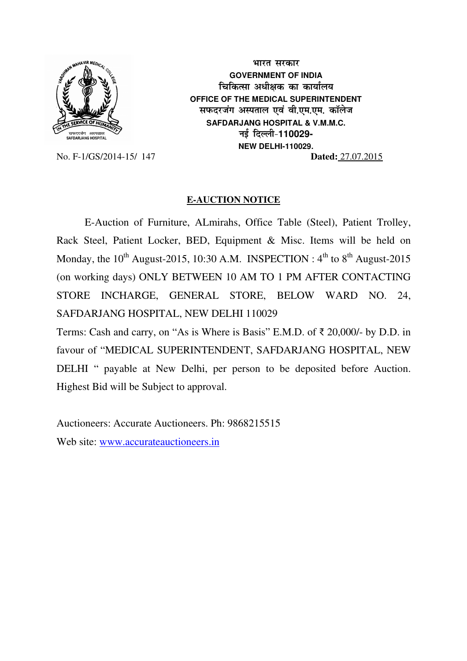

भारत सरकार **GOVERNMENT OF INDIA चिकित्सा अधीक्षक का कार्यालय OFFICE OF THE MEDICAL SUPERINTENDENT सफदरजंग अस्पताल एवं वी.एम.एम. कॉलेज SAFDARJANG HOSPITAL & V.M.M.C. ubZ fnYyh&110029- NEW DELHI-110029.**  No. F-1/GS/2014-15/ 147 **Dated:** 27.07.2015

## **E-AUCTION NOTICE**

E-Auction of Furniture, ALmirahs, Office Table (Steel), Patient Trolley, Rack Steel, Patient Locker, BED, Equipment & Misc. Items will be held on Monday, the  $10^{th}$  August-2015, 10:30 A.M. INSPECTION :  $4^{th}$  to  $8^{th}$  August-2015 (on working days) ONLY BETWEEN 10 AM TO 1 PM AFTER CONTACTING STORE INCHARGE, GENERAL STORE, BELOW WARD NO. 24, SAFDARJANG HOSPITAL, NEW DELHI 110029

Terms: Cash and carry, on "As is Where is Basis" E.M.D. of ₹ 20,000/- by D.D. in favour of "MEDICAL SUPERINTENDENT, SAFDARJANG HOSPITAL, NEW DELHI " payable at New Delhi, per person to be deposited before Auction. Highest Bid will be Subject to approval.

Auctioneers: Accurate Auctioneers. Ph: 9868215515 Web site: www.accurateauctioneers.in